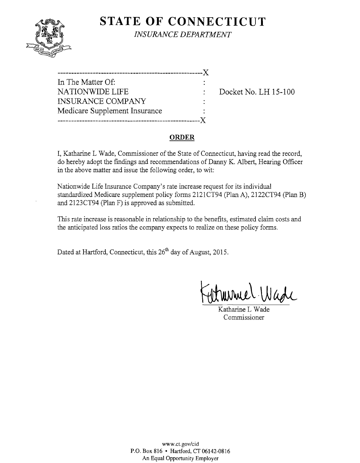

**STATE OF CONNECTICUT** *INSURANCE DEPARTMENT* 

| In The Matter Of:             |  |
|-------------------------------|--|
| <b>NATIONWIDE LIFE</b>        |  |
| <b>INSURANCE COMPANY</b>      |  |
| Medicare Supplement Insurance |  |
|                               |  |

Docket No. LH 15-100

#### **ORDER**

I, Katharine L Wade, Commissioner of the State of Connecticut, having read the record, do hereby adopt the fmdings and recommendations of Danny K. Albert, Hearing Officer in the above matter and issue the following order, to wit:

Nationwide Life Insurance Company's rate increase request for its individual standardized Medicare supplement policy forms 212lCT94 (plan A), 2122CT94 (plan B) and 2123CT94 (Plan F) is approved as submitted.

This rate increase is reasonable in relationship to the benefits, estimated claim costs and the anticipated loss ratios the company expects to realize on these policy forms.

Dated at Hartford, Connecticut, this 26<sup>th</sup> day of August, 2015.

Katharine L Wade Commissioner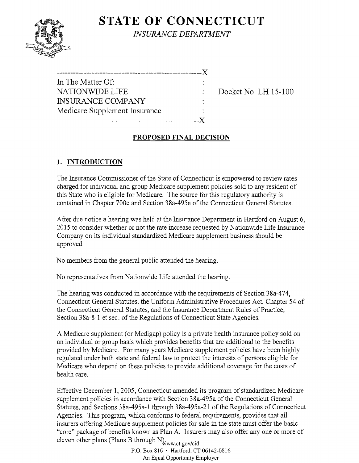# **STATE OF CONNECTICUT**



*INSURANCE DEPARTMENT* 

| -------------------------     |  |
|-------------------------------|--|
| In The Matter Of:             |  |
| NATIONWIDE LIFE               |  |
| <b>INSURANCE COMPANY</b>      |  |
| Medicare Supplement Insurance |  |
|                               |  |

Docket No. LH 15-100

## **PROPOSED FINAL DECISION**

## **1. INTRODUCTION**

The Insurance Commissioner of the State of Connecticut is empowered to review rates charged for individual and group Medicare supplement policies sold to any resident of this State who is eligible for Medicare. The source for this regulatory authority is contained in Chapter 700c and Section 38a-495a of the Connecticut General Statutes.

After due notice a hearing was held at the Insurance Department in Hartford on August 6, 2015 to consider whether or not the rate increase requested by Nationwide Life Insurance Company on its individual standardized Medicare supplement business should be approved.

No members from the general public attended the hearing.

No representatives from Nationwide Life attended the hearing.

The hearing was conducted in accordance with the requirements of Section 38a-474, Connecticut General Statutes, the Uniform Administrative Procedures Act, Chapter 54 of the Connecticut General Statutes, and the Insurance Department Rules of Practice, Section 38a-8-1 et seq. of the Regulations of Connecticut State Agencies.

A Medicare supplement (or Medigap) policy is a private health insurance policy sold on an individual or group basis which provides benefits that are additional to the benefits provided by Medicare. For many years Medicare supplement policies have been highly regulated under both state and federal law to protect the interests of persons eligible for Medicare who depend on these policies to provide additional coverage for the costs of health care.

Effective December 1,2005, Connecticut amended its program of standardized Medicare supplement policies in accordance with Section 38a-495a of the Connecticut General Statutes, and Sections 38a-495a-l through 38a-495a-21 of the Regulations of Connecticut Agencies. This program, which conforms to federal requirements, provides that all insurers offering Medicare supplement policies for sale in the state must offer the basic "core" package of benefits known as Plan A. Insurers may also offer anyone or more of eleven other plans (Plans B through N), www.ct.gov/cid

P.O. Box 816 • Hartford, CT06142-0816 An Equal Opportunity Employer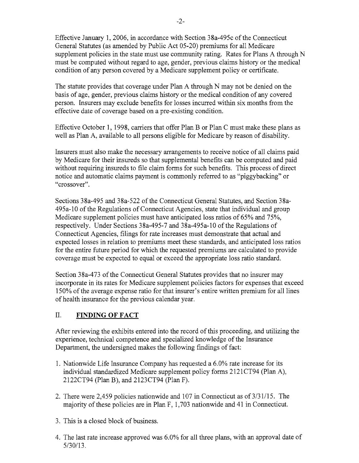Effective January 1,2006, in accordance with Section 38a-495c of the Connecticut General Statutes (as amended by Public Act 05-20) premiums for all Medicare supplement policies in the state must use community rating. Rates for Plans A through N must be computed without regard to age, gender, previous claims history or the medical condition of any person covered by a Medicare supplement policy or certificate.

The statute provides that coverage under Plan A through N may not be denied on the basis of age, gender, previous claims history or the medical condition of any covered person. Insurers may exclude benefits for losses incurred within six months from the effective date of coverage based on a pre-existing condition.

Effective October 1, 1998, carriers that offer Plan B or Plan C must make these plans as well as Plan A, available to all persons eligible for Medicare by reason of disability.

Insurers must also make the necessary arrangements to receive notice of all claims paid by Medicare for their insureds so that supplemental benefits can be computed and paid without requiring insureds to file claim forms for such benefits. This process of direct notice and automatic claims payment is commonly referred to as "piggybacking" or "crossover".

Sections 38a-495 and 38a-522 of the Connecticut General Statutes, and Section 38a-495a-10 of the Regulations of Connecticut Agencies, state that individual and group Medicare supplement policies must have anticipated loss ratios of 65% and 75%, respectively. Under Sections 38a-495-7 and 38a-495a-10 of the Regulations of Connecticut Agencies, filings for rate increases must demonstrate that actual and expected losses in relation to premiums meet these standards, and anticipated loss ratios for the entire future period for which the requested premiums are calculated to provide coverage must be expected to equal or exceed the appropriate loss ratio standard.

Section 38a-473 of the Connecticut General Statutes provides that no insurer may incorporate in its rates for Medicare supplement policies factors for expenses that exceed 150% of the average expense ratio for that insurer's entire written premium for all lines of health insurance for the previous calendar year.

## II. **FINDING OF FACT**

After reviewing the exhibits entered into the record of this proceeding, and utilizing the experience, technical competence and specialized knowledge of the Insurance Department, the undersigned makes the following findings of fact:

- 1. Nationwide Life Insurance Company has requested a 6.0% rate increase for its individual standardized Medicare supplement policy forms 2121CT94 (Plan A), 2122CT94 (Plan B), and 2123CT94 (Plan F).
- 2. There were 2,459 policies nationwide and 107 in Connecticut as of  $3/31/15$ . The majority of these policies are in Plan F, 1,703 nationwide and 41 in Connecticut.
- 3. This is a closed block of business.
- 4. The last rate increase approved was 6.0% for all three plans, with an approval date of 5/30/13.